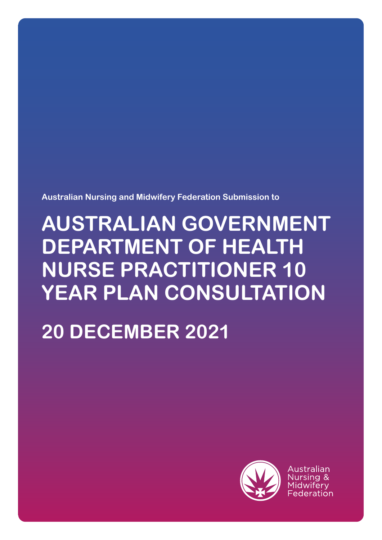**Australian Nursing and Midwifery Federation Submission to**

# **AUSTRALIAN GOVERNMENT DEPARTMENT OF HEALTH NURSE PRACTITIONER 10 YEAR PLAN CONSULTATION**

# **20 DECEMBER 2021**



Australian Midwiferv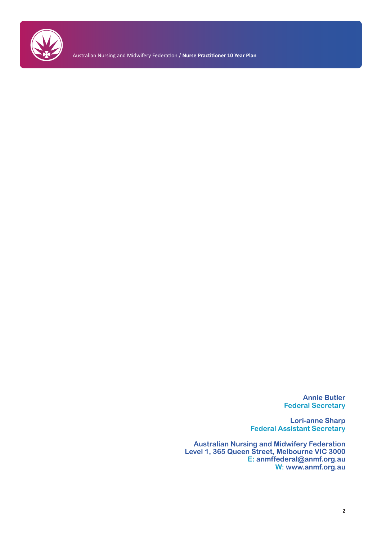

Australian Nursing and Midwifery Federation / **Nurse Practitioner 10 Year Plan** 

**Annie Butler Federal Secretary**

**Lori-anne Sharp Federal Assistant Secretary**

**Australian Nursing and Midwifery Federation Level 1, 365 Queen Street, Melbourne VIC 3000 E: anmffederal@anmf.org.au W: www.anmf.org.au**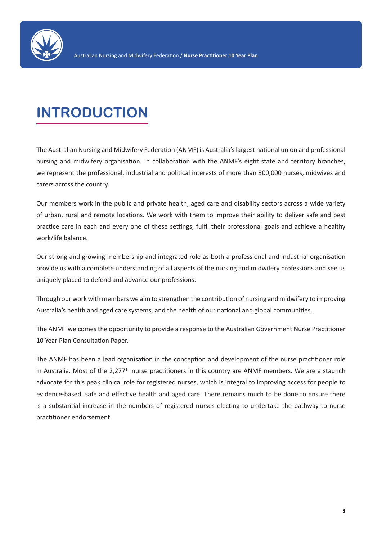

## **INTRODUCTION**

The Australian Nursing and Midwifery Federation (ANMF) is Australia's largest national union and professional nursing and midwifery organisation. In collaboration with the ANMF's eight state and territory branches, we represent the professional, industrial and political interests of more than 300,000 nurses, midwives and carers across the country.

Our members work in the public and private health, aged care and disability sectors across a wide variety of urban, rural and remote locations. We work with them to improve their ability to deliver safe and best practice care in each and every one of these settings, fulfil their professional goals and achieve a healthy work/life balance.

Our strong and growing membership and integrated role as both a professional and industrial organisation provide us with a complete understanding of all aspects of the nursing and midwifery professions and see us uniquely placed to defend and advance our professions.

Through our work with members we aim to strengthen the contribution of nursing and midwifery to improving Australia's health and aged care systems, and the health of our national and global communities.

The ANMF welcomes the opportunity to provide a response to the Australian Government Nurse Practitioner 10 Year Plan Consultation Paper.

The ANMF has been a lead organisation in the conception and development of the nurse practitioner role in Australia. Most of the 2,277<sup>1</sup> nurse practitioners in this country are ANMF members. We are a staunch advocate for this peak clinical role for registered nurses, which is integral to improving access for people to evidence-based, safe and effective health and aged care. There remains much to be done to ensure there is a substantial increase in the numbers of registered nurses electing to undertake the pathway to nurse practitioner endorsement.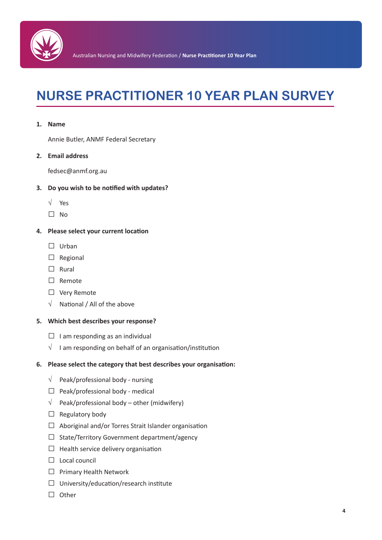

### **NURSE PRACTITIONER 10 YEAR PLAN SURVEY**

#### **1. Name**

Annie Butler, ANMF Federal Secretary

#### **2. Email address**

fedsec@anmf.org.au

#### **3. Do you wish to be notified with updates?**

- √ Yes
- $\square$  No

#### **4. Please select your current location**

- $\square$  Urban
- $\square$  Regional
- $\square$  Rural
- $\square$  Remote
- $\square$  Very Remote
- $\sqrt{\phantom{a}}$  National / All of the above

#### **5. Which best describes your response?**

- $\Box$  I am responding as an individual
- $\sqrt{ }$  I am responding on behalf of an organisation/institution

#### **6. Please select the category that best describes your organisation:**

- $\sqrt{\phantom{a}}$  Peak/professional body nursing
- $\Box$  Peak/professional body medical
- $\sqrt{\phantom{a}}$  Peak/professional body other (midwifery)
- $\Box$  Regulatory body
- $\Box$  Aboriginal and/or Torres Strait Islander organisation
- $\square$  State/Territory Government department/agency
- $\Box$  Health service delivery organisation
- $\Box$  Local council
- $\square$  Primary Health Network
- $\square$  University/education/research institute
- $\Box$  Other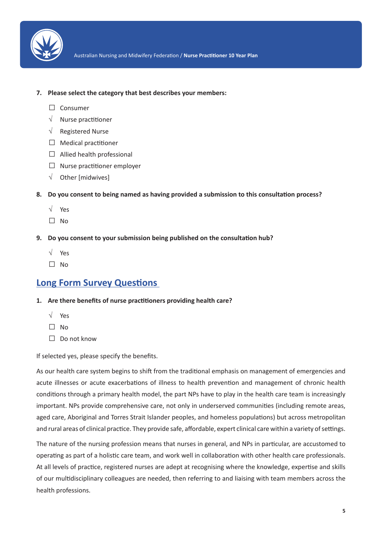

- **7. Please select the category that best describes your members:**
	- $\square$  Consumer
	- $\sqrt{\phantom{a}}$  Nurse practitioner
	- √ Registered Nurse
	- $\Box$  Medical practitioner
	- $\Box$  Allied health professional
	- $\square$  Nurse practitioner employer
	- $\sqrt{\phantom{a}}$  Other [midwives]
- **8. Do you consent to being named as having provided a submission to this consultation process?**
	- √ Yes
	- $\square$  No
- **9. Do you consent to your submission being published on the consultation hub?**
	- √ Yes
	- $\Box$  No

### **Long Form Survey Questions**

- **1. Are there benefits of nurse practitioners providing health care?**
	- √ Yes
	- $\Box$  No
	- $\square$  Do not know

If selected yes, please specify the benefits.

As our health care system begins to shift from the traditional emphasis on management of emergencies and acute illnesses or acute exacerbations of illness to health prevention and management of chronic health conditions through a primary health model, the part NPs have to play in the health care team is increasingly important. NPs provide comprehensive care, not only in underserved communities (including remote areas, aged care, Aboriginal and Torres Strait Islander peoples, and homeless populations) but across metropolitan and rural areas of clinical practice. They provide safe, affordable, expert clinical care within a variety of settings.

The nature of the nursing profession means that nurses in general, and NPs in particular, are accustomed to operating as part of a holistic care team, and work well in collaboration with other health care professionals. At all levels of practice, registered nurses are adept at recognising where the knowledge, expertise and skills of our multidisciplinary colleagues are needed, then referring to and liaising with team members across the health professions.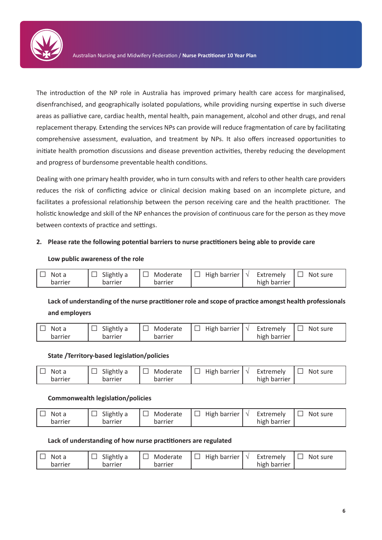

The introduction of the NP role in Australia has improved primary health care access for marginalised, disenfranchised, and geographically isolated populations, while providing nursing expertise in such diverse areas as palliative care, cardiac health, mental health, pain management, alcohol and other drugs, and renal replacement therapy. Extending the services NPs can provide will reduce fragmentation of care by facilitating comprehensive assessment, evaluation, and treatment by NPs. It also offers increased opportunities to initiate health promotion discussions and disease prevention activities, thereby reducing the development and progress of burdensome preventable health conditions.

Dealing with one primary health provider, who in turn consults with and refers to other health care providers reduces the risk of conflicting advice or clinical decision making based on an incomplete picture, and facilitates a professional relationship between the person receiving care and the health practitioner. The holistic knowledge and skill of the NP enhances the provision of continuous care for the person as they move between contexts of practice and settings.

#### **2. Please rate the following potential barriers to nurse practitioners being able to provide care**

#### **Low public awareness of the role**

| Not a   | $ \Box$ Slightly a |         | $\Box$ Moderate $\Box$ High barrier $\Diamond$ Extremely $\Box$ Not sure |              |  |
|---------|--------------------|---------|--------------------------------------------------------------------------|--------------|--|
| barrier | barrier            | barrier |                                                                          | high barrier |  |

### **Lack of understanding of the nurse practitioner role and scope of practice amongst health professionals and employers**

 $\square$  Not a barrier  $\Box$  Slightly a barrier  $\square$  Moderate barrier ʋ High barrier √ Extremely high barrier  $\square$  Not sure

#### **State /Territory-based legislation/policies**

| Not a   | Slightly a | Moderate | $\vert$ High barrier $\vert \sqrt{\ }$<br>╹└┘ | Extremely    | Not sure |
|---------|------------|----------|-----------------------------------------------|--------------|----------|
| barrier | barrier    | barrier  |                                               | high barrier |          |

#### **Commonwealth legislation/policies**

| Not a   | Slightly a | Moderate | High barrier<br>نا آ | Extremely    | Not<br>sure |
|---------|------------|----------|----------------------|--------------|-------------|
| barrier | barrier    | barrier  |                      | high barrier |             |

#### **Lack of understanding of how nurse practitioners are regulated**

| Not a   | Slightly a | Moderate<br>▏Ш | High barrier $\vert \sqrt{\ }$ | Extremely    | Not sure |
|---------|------------|----------------|--------------------------------|--------------|----------|
| barrier | barrier    | barrier        |                                | high barrier |          |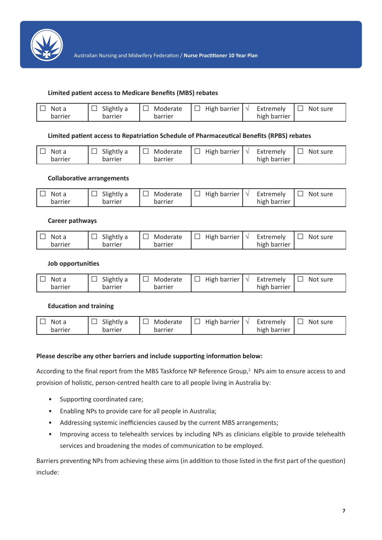

#### **Limited patient access to Medicare Benefits (MBS) rebates**

| Not a   | Slightly a | Moderate | High barrier $\vert \vee \vert$ | Extremely    | Not sure |
|---------|------------|----------|---------------------------------|--------------|----------|
| barrier | barrier    | barrier  |                                 | high barrier |          |

#### **Limited patient access to Repatriation Schedule of Pharmaceutical Benefits (RPBS) rebates**

| Not a<br>barrier | Slightly a<br>barrier | Moderate<br>barrier | $ \Box$ High barrier $ \vee$ Extremely | high barrier | $\Box$ Not sure |
|------------------|-----------------------|---------------------|----------------------------------------|--------------|-----------------|
|                  |                       |                     |                                        |              |                 |

#### **Collaborative arrangements**

| Not a   | Slightly a | Moderate | $ \Box$ High barrier $ \vee$ | Extremely    | $\Box$ Not sure |
|---------|------------|----------|------------------------------|--------------|-----------------|
| barrier | barrier    | barrier  |                              | high barrier |                 |

#### **Career pathways**

| Not a<br>barrier | Slightly a<br>barrier | Moderate<br>barrier | High barrier | Extremely<br>high barrier | Not sure |
|------------------|-----------------------|---------------------|--------------|---------------------------|----------|
|                  |                       |                     |              |                           |          |

#### **Job opportunities**

| Not a   | Slightly a | Moderate<br>1 L I | $ \Box$ High barrier $ \vee$ | Extremely    | Not sure |
|---------|------------|-------------------|------------------------------|--------------|----------|
| barrier | barrier    | barrier           |                              | high barrier |          |

#### **Education and training**

| Not a   | Slightly a | Moderate | $ \Box$ High barrier $ \vee$ | Extremely    | Not sure |
|---------|------------|----------|------------------------------|--------------|----------|
| barrier | barrier    | barrier  |                              | high barrier |          |

#### **Please describe any other barriers and include supporting information below:**

According to the final report from the MBS Taskforce NP Reference Group, $2$  NPs aim to ensure access to and provision of holistic, person-centred health care to all people living in Australia by:

- Supporting coordinated care;
- Enabling NPs to provide care for all people in Australia;
- Addressing systemic inefficiencies caused by the current MBS arrangements;
- Improving access to telehealth services by including NPs as clinicians eligible to provide telehealth services and broadening the modes of communication to be employed.

Barriers preventing NPs from achieving these aims (in addition to those listed in the first part of the question) include: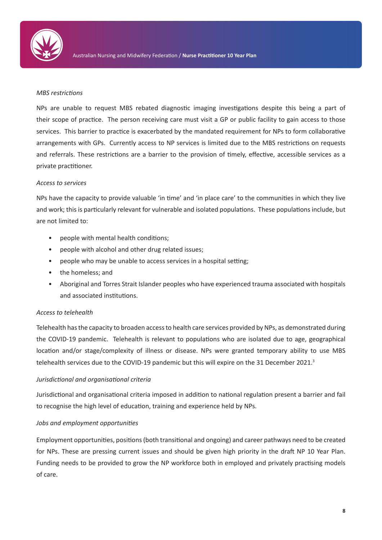

#### *MBS restrictions*

NPs are unable to request MBS rebated diagnostic imaging investigations despite this being a part of their scope of practice. The person receiving care must visit a GP or public facility to gain access to those services. This barrier to practice is exacerbated by the mandated requirement for NPs to form collaborative arrangements with GPs. Currently access to NP services is limited due to the MBS restrictions on requests and referrals. These restrictions are a barrier to the provision of timely, effective, accessible services as a private practitioner.

#### *Access to services*

NPs have the capacity to provide valuable 'in time' and 'in place care' to the communities in which they live and work; this is particularly relevant for vulnerable and isolated populations. These populations include, but are not limited to:

- people with mental health conditions;
- people with alcohol and other drug related issues;
- people who may be unable to access services in a hospital setting;
- the homeless; and
- Aboriginal and Torres Strait Islander peoples who have experienced trauma associated with hospitals and associated institutions.

#### *Access to telehealth*

Telehealth has the capacity to broaden access to health care services provided by NPs, as demonstrated during the COVID-19 pandemic. Telehealth is relevant to populations who are isolated due to age, geographical location and/or stage/complexity of illness or disease. NPs were granted temporary ability to use MBS telehealth services due to the COVID-19 pandemic but this will expire on the 31 December 2021.<sup>3</sup>

#### *Jurisdictional and organisational criteria*

Jurisdictional and organisational criteria imposed in addition to national regulation present a barrier and fail to recognise the high level of education, training and experience held by NPs.

#### *Jobs and employment opportunities*

Employment opportunities, positions (both transitional and ongoing) and career pathways need to be created for NPs. These are pressing current issues and should be given high priority in the draft NP 10 Year Plan. Funding needs to be provided to grow the NP workforce both in employed and privately practising models of care.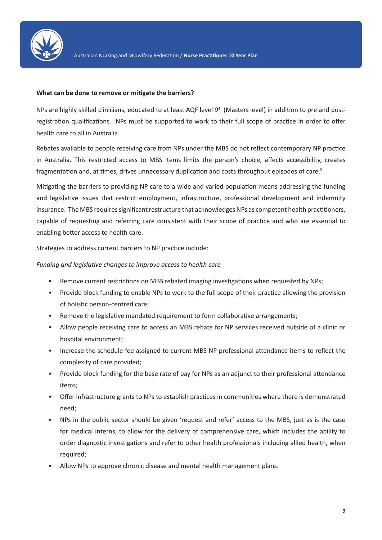

#### **What can be done to remove or mitigate the barriers?**

NPs are highly skilled clinicians, educated to at least AQF level 9<sup>4</sup> (Masters level) in addition to pre and postregistration qualifications. NPs must be supported to work to their full scope of practice in order to offer health care to all in Australia.

Rebates available to people receiving care from NPs under the MBS do not reflect contemporary NP practice in Australia. This restricted access to MBS items limits the person's choice, affects accessibility, creates fragmentation and, at times, drives unnecessary duplication and costs throughout episodes of care.<sup>5</sup>

Mitigating the barriers to providing NP care to a wide and varied population means addressing the funding and legislative issues that restrict employment, infrastructure, professional development and indemnity insurance. The MBS requires significant restructure that acknowledges NPs as competent health practitioners, capable of requesting and referring care consistent with their scope of practice and who are essential to enabling better access to health care.

Strategies to address current barriers to NP practice include:

#### *Funding and legislative changes to improve access to health care*

- Remove current restrictions on MBS rebated imaging investigations when requested by NPs;
- Provide block funding to enable NPs to work to the full scope of their practice allowing the provision of holistic person-centred care;
- Remove the legislative mandated requirement to form collaborative arrangements;
- Allow people receiving care to access an MBS rebate for NP services received outside of a clinic or hospital environment;
- Increase the schedule fee assigned to current MBS NP professional attendance items to reflect the complexity of care provided;
- Provide block funding for the base rate of pay for NPs as an adjunct to their professional attendance items;
- Offer infrastructure grants to NPs to establish practices in communities where there is demonstrated need;
- NPs in the public sector should be given 'request and refer' access to the MBS, just as is the case for medical interns, to allow for the delivery of comprehensive care, which includes the ability to order diagnostic investigations and refer to other health professionals including allied health, when required;
- Allow NPs to approve chronic disease and mental health management plans.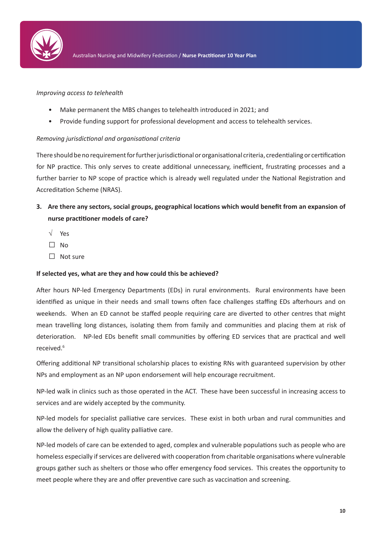

#### *Improving access to telehealth*

- Make permanent the MBS changes to telehealth introduced in 2021; and
- Provide funding support for professional development and access to telehealth services.

#### *Removing jurisdictional and organisational criteria*

There should be no requirement for further jurisdictional or organisational criteria, credentialing or certification for NP practice. This only serves to create additional unnecessary, inefficient, frustrating processes and a further barrier to NP scope of practice which is already well regulated under the National Registration and Accreditation Scheme (NRAS).

- **3. Are there any sectors, social groups, geographical locations which would benefit from an expansion of nurse practitioner models of care?**
	- √ Yes
	- $\Box$  No
	- $\square$  Not sure

#### **If selected yes, what are they and how could this be achieved?**

After hours NP-led Emergency Departments (EDs) in rural environments. Rural environments have been identified as unique in their needs and small towns often face challenges staffing EDs afterhours and on weekends. When an ED cannot be staffed people requiring care are diverted to other centres that might mean travelling long distances, isolating them from family and communities and placing them at risk of deterioration. NP-led EDs benefit small communities by offering ED services that are practical and well received.<sup>6</sup>

Offering additional NP transitional scholarship places to existing RNs with guaranteed supervision by other NPs and employment as an NP upon endorsement will help encourage recruitment.

NP-led walk in clinics such as those operated in the ACT. These have been successful in increasing access to services and are widely accepted by the community.

NP-led models for specialist palliative care services. These exist in both urban and rural communities and allow the delivery of high quality palliative care.

NP-led models of care can be extended to aged, complex and vulnerable populations such as people who are homeless especially if services are delivered with cooperation from charitable organisations where vulnerable groups gather such as shelters or those who offer emergency food services. This creates the opportunity to meet people where they are and offer preventive care such as vaccination and screening.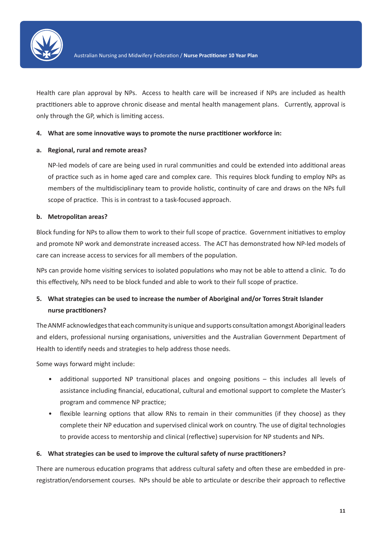

Health care plan approval by NPs. Access to health care will be increased if NPs are included as health practitioners able to approve chronic disease and mental health management plans. Currently, approval is only through the GP, which is limiting access.

#### **4. What are some innovative ways to promote the nurse practitioner workforce in:**

#### **a. Regional, rural and remote areas?**

NP-led models of care are being used in rural communities and could be extended into additional areas of practice such as in home aged care and complex care. This requires block funding to employ NPs as members of the multidisciplinary team to provide holistic, continuity of care and draws on the NPs full scope of practice. This is in contrast to a task-focused approach.

#### **b. Metropolitan areas?**

Block funding for NPs to allow them to work to their full scope of practice. Government initiatives to employ and promote NP work and demonstrate increased access. The ACT has demonstrated how NP-led models of care can increase access to services for all members of the population.

NPs can provide home visiting services to isolated populations who may not be able to attend a clinic. To do this effectively, NPs need to be block funded and able to work to their full scope of practice.

### **5. What strategies can be used to increase the number of Aboriginal and/or Torres Strait Islander nurse practitioners?**

The ANMF acknowledges that each community is unique and supports consultation amongst Aboriginal leaders and elders, professional nursing organisations, universities and the Australian Government Department of Health to identify needs and strategies to help address those needs.

Some ways forward might include:

- additional supported NP transitional places and ongoing positions this includes all levels of assistance including financial, educational, cultural and emotional support to complete the Master's program and commence NP practice;
- flexible learning options that allow RNs to remain in their communities (if they choose) as they complete their NP education and supervised clinical work on country. The use of digital technologies to provide access to mentorship and clinical (reflective) supervision for NP students and NPs.

#### **6. What strategies can be used to improve the cultural safety of nurse practitioners?**

There are numerous education programs that address cultural safety and often these are embedded in preregistration/endorsement courses. NPs should be able to articulate or describe their approach to reflective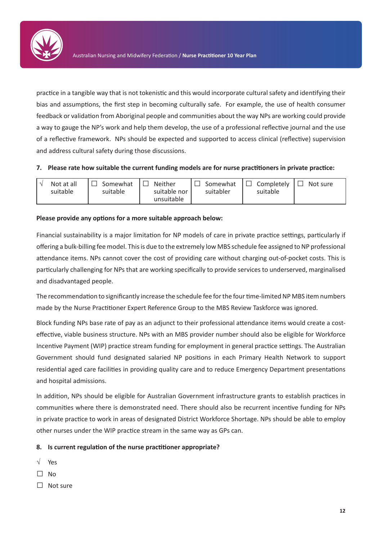

practice in a tangible way that is not tokenistic and this would incorporate cultural safety and identifying their bias and assumptions, the first step in becoming culturally safe. For example, the use of health consumer feedback or validation from Aboriginal people and communities about the way NPs are working could provide a way to gauge the NP's work and help them develop, the use of a professional reflective journal and the use of a reflective framework. NPs should be expected and supported to access clinical (reflective) supervision and address cultural safety during those discussions.

#### **7. Please rate how suitable the current funding models are for nurse practitioners in private practice:**

| Not at all<br>suitable | Somewhat<br>suitable | Neither<br>suitable nor<br>unsuitable | $ \Box$ Somewhat<br>suitabler | <sup>1</sup> Completely<br>$\Box$<br>suitable | Not sure<br>$\blacksquare$ |
|------------------------|----------------------|---------------------------------------|-------------------------------|-----------------------------------------------|----------------------------|
|                        |                      |                                       |                               |                                               |                            |

#### **Please provide any options for a more suitable approach below:**

Financial sustainability is a major limitation for NP models of care in private practice settings, particularly if offering a bulk-billing fee model. This is due to the extremely low MBS schedule fee assigned to NP professional attendance items. NPs cannot cover the cost of providing care without charging out-of-pocket costs. This is particularly challenging for NPs that are working specifically to provide services to underserved, marginalised and disadvantaged people.

The recommendation to significantly increase the schedule fee for the four time-limited NP MBS item numbers made by the Nurse Practitioner Expert Reference Group to the MBS Review Taskforce was ignored.

Block funding NPs base rate of pay as an adjunct to their professional attendance items would create a costeffective, viable business structure. NPs with an MBS provider number should also be eligible for Workforce Incentive Payment (WIP) practice stream funding for employment in general practice settings. The Australian Government should fund designated salaried NP positions in each Primary Health Network to support residential aged care facilities in providing quality care and to reduce Emergency Department presentations and hospital admissions.

In addition, NPs should be eligible for Australian Government infrastructure grants to establish practices in communities where there is demonstrated need. There should also be recurrent incentive funding for NPs in private practice to work in areas of designated District Workforce Shortage. NPs should be able to employ other nurses under the WIP practice stream in the same way as GPs can.

#### **8. Is current regulation of the nurse practitioner appropriate?**

- √ Yes
- $\square$  No
- $\square$  Not sure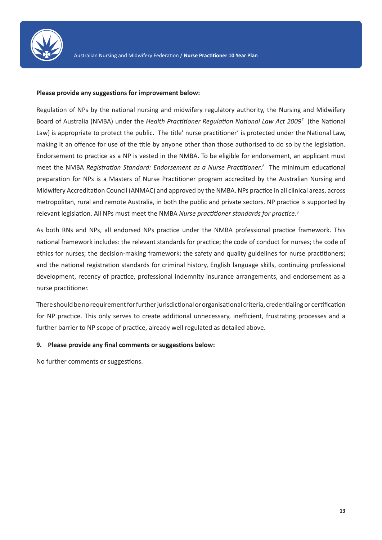

#### **Please provide any suggestions for improvement below:**

Regulation of NPs by the national nursing and midwifery regulatory authority, the Nursing and Midwifery Board of Australia (NMBA) under the *Health Practitioner Regulation National Law Act 2009<sup>7</sup>* (the National Law) is appropriate to protect the public. The title' nurse practitioner' is protected under the National Law, making it an offence for use of the title by anyone other than those authorised to do so by the legislation. Endorsement to practice as a NP is vested in the NMBA. To be eligible for endorsement, an applicant must meet the NMBA *Registration Standard: Endorsement as a Nurse Practitioner*. 8 The minimum educational preparation for NPs is a Masters of Nurse Practitioner program accredited by the Australian Nursing and Midwifery Accreditation Council (ANMAC) and approved by the NMBA. NPs practice in all clinical areas, across metropolitan, rural and remote Australia, in both the public and private sectors. NP practice is supported by relevant legislation. All NPs must meet the NMBA *Nurse practitioner standards for practice*. 9

As both RNs and NPs, all endorsed NPs practice under the NMBA professional practice framework. This national framework includes: the relevant standards for practice; the code of conduct for nurses; the code of ethics for nurses; the decision-making framework; the safety and quality guidelines for nurse practitioners; and the national registration standards for criminal history, English language skills, continuing professional development, recency of practice, professional indemnity insurance arrangements, and endorsement as a nurse practitioner.

There should be no requirement for further jurisdictional or organisational criteria, credentialing or certification for NP practice. This only serves to create additional unnecessary, inefficient, frustrating processes and a further barrier to NP scope of practice, already well regulated as detailed above.

#### **9. Please provide any final comments or suggestions below:**

No further comments or suggestions.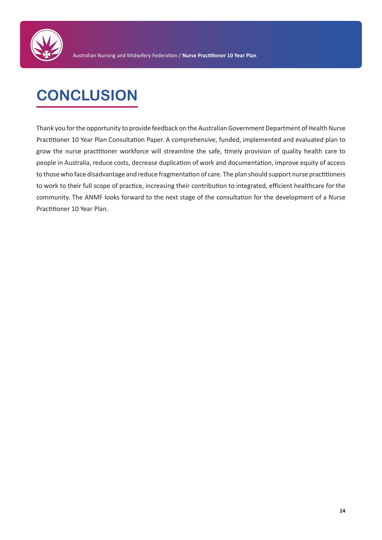

# **CONCLUSION**

Thank you for the opportunity to provide feedback on the Australian Government Department of Health Nurse Practitioner 10 Year Plan Consultation Paper. A comprehensive, funded, implemented and evaluated plan to grow the nurse practitioner workforce will streamline the safe, timely provision of quality health care to people in Australia, reduce costs, decrease duplication of work and documentation, improve equity of access to those who face disadvantage and reduce fragmentation of care. The plan should support nurse practitioners to work to their full scope of practice, increasing their contribution to integrated, efficient healthcare for the community. The ANMF looks forward to the next stage of the consultation for the development of a Nurse Practitioner 10 Year Plan.